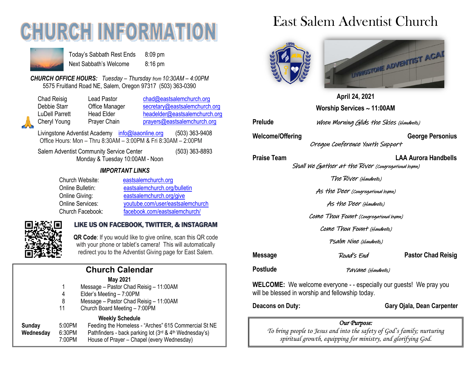# **CHURCH INFORMATION**



Today's Sabbath Rest Ends 8:09 pm Next Sabbath's Welcome 8:16 pm

*CHURCH OFFICE HOURS: Tuesday – Thursday from 10:30AM – 4:00PM* 5575 Fruitland Road NE, Salem, Oregon 97317 (503) 363-0390

| Chad Reis  |
|------------|
| Debbie Sta |
| LuDell Par |
| Cheryl You |
|            |

chad Reisig Lead Pastor chad @eastsalemchurch.org arr Office Manager [secretary@eastsalemchurch.org](mailto:secretary@eastsalemchurch.org) rett Head Elder [headelder@eastsalemchurch.org](mailto:headelder@eastsalemchurch.org) ung Prayer Chain **[prayers@eastsalemchurch.org](mailto:prayers@eastsalemchurch.org)** 

Livingstone Adventist Academy [info@laaonline.org](mailto:info@laaonline.org) (503) 363-9408 Office Hours: Mon – Thru 8:30AM – 3:00PM & Fri 8:30AM – 2:00PM

Salem Adventist Community Service Center (503) 363-8893 Monday & Tuesday 10:00AM - Noon

#### *IMPORTANT LINKS*

| Church Website:         | eastsalemchurch.org              |
|-------------------------|----------------------------------|
| Online Bulletin:        | eastsalemchurch.org/bulletin     |
| Online Giving:          | eastsalemchurch.org/give         |
| <b>Online Services:</b> | youtube.com/user/eastsalemchurch |
| Church Facebook:        | facebook.com/eastsalemchurch/    |



#### LIKE US ON FACEBOOK, TWITTER, & INSTAGRAM

**QR Code**: If you would like to give online, scan this QR code with your phone or tablet's camera! This will automatically redirect you to the Adventist Giving page for East Salem.

# **Church Calendar**

#### **May 2021**

- Message Pastor Chad Reisig 11:00AM
- 4 Elder's Meeting 7:00PM
- 8 Message Pastor Chad Reisig 11:00AM
- 11 Church Board Meeting 7:00PM

#### **Weekly Schedule**

**Sunday** 5:00PM Feeding the Homeless - "Arches" 615 Commercial St NE **Wednesday** 6:30PM Pathfinders - back parking lot (3rd & 4th Wednesday's) 7:00PM House of Prayer – Chapel (every Wednesday)

# East Salem Adventist Church





**April 24, 2021 Worship Services 11:00AM**

Prelude *When Morning Glids the Skies (Handbells)* 

Welcome/Offering **George Personius** Oregon Conference Youth Support

#### **Praise Team LAA Aurora Handbells**

Shall We Gather at the River (Congregational hymn)

The River (Handbells)

As the Deer (Congregational hymn)

As the Deer (Handbells)

Come Thou Fount (Congregational hymn)

Come Thou Fount (Handbells)

Psalm Nine (Handbells)

**Message** *Poad's End* **Pastor Chad Reisig** 

**Postlude** Pavane (Handbells)

**WELCOME:** We welcome everyone - - especially our guests! We pray you will be blessed in worship and fellowship today.

**Deacons on Duty:** Gary Ojala, Dean Carpenter

### *Our Purpose:*

*To bring people to Jesus and into the safety of God's family; nurturing spiritual growth, equipping for ministry, and glorifying God.*